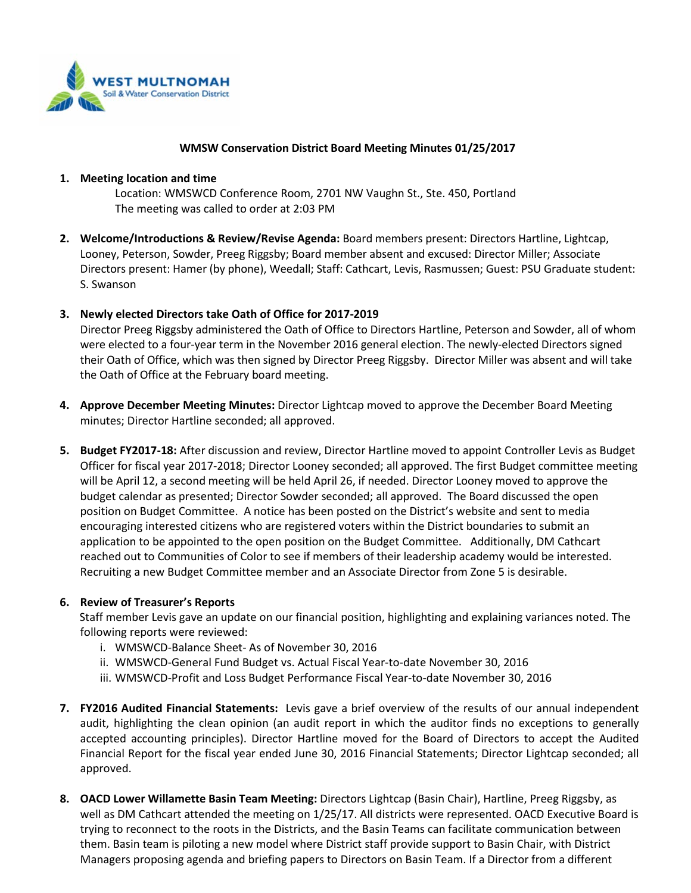

### **WMSW Conservation District Board Meeting Minutes 01/25/2017**

#### **1. Meeting location and time**

Location: WMSWCD Conference Room, 2701 NW Vaughn St., Ste. 450, Portland The meeting was called to order at 2:03 PM

**2. Welcome/Introductions & Review/Revise Agenda:** Board members present: Directors Hartline, Lightcap, Looney, Peterson, Sowder, Preeg Riggsby; Board member absent and excused: Director Miller; Associate Directors present: Hamer (by phone), Weedall; Staff: Cathcart, Levis, Rasmussen; Guest: PSU Graduate student: S. Swanson

## **3. Newly elected Directors take Oath of Office for 2017-2019**

Director Preeg Riggsby administered the Oath of Office to Directors Hartline, Peterson and Sowder, all of whom were elected to a four-year term in the November 2016 general election. The newly-elected Directors signed their Oath of Office, which was then signed by Director Preeg Riggsby. Director Miller was absent and will take the Oath of Office at the February board meeting.

- **4. Approve December Meeting Minutes:** Director Lightcap moved to approve the December Board Meeting minutes; Director Hartline seconded; all approved.
- **5. Budget FY2017-18:** After discussion and review, Director Hartline moved to appoint Controller Levis as Budget Officer for fiscal year 2017-2018; Director Looney seconded; all approved. The first Budget committee meeting will be April 12, a second meeting will be held April 26, if needed. Director Looney moved to approve the budget calendar as presented; Director Sowder seconded; all approved. The Board discussed the open position on Budget Committee. A notice has been posted on the District's website and sent to media encouraging interested citizens who are registered voters within the District boundaries to submit an application to be appointed to the open position on the Budget Committee. Additionally, DM Cathcart reached out to Communities of Color to see if members of their leadership academy would be interested. Recruiting a new Budget Committee member and an Associate Director from Zone 5 is desirable.

### **6. Review of Treasurer's Reports**

Staff member Levis gave an update on our financial position, highlighting and explaining variances noted. The following reports were reviewed:

- i. WMSWCD-Balance Sheet- As of November 30, 2016
- ii. WMSWCD-General Fund Budget vs. Actual Fiscal Year-to-date November 30, 2016
- iii. WMSWCD-Profit and Loss Budget Performance Fiscal Year-to-date November 30, 2016
- **7. FY2016 Audited Financial Statements:** Levis gave a brief overview of the results of our annual independent audit, highlighting the clean opinion (an audit report in which the auditor finds no exceptions to generally accepted accounting principles). Director Hartline moved for the Board of Directors to accept the Audited Financial Report for the fiscal year ended June 30, 2016 Financial Statements; Director Lightcap seconded; all approved.
- **8. OACD Lower Willamette Basin Team Meeting:** Directors Lightcap (Basin Chair), Hartline, Preeg Riggsby, as well as DM Cathcart attended the meeting on 1/25/17. All districts were represented. OACD Executive Board is trying to reconnect to the roots in the Districts, and the Basin Teams can facilitate communication between them. Basin team is piloting a new model where District staff provide support to Basin Chair, with District Managers proposing agenda and briefing papers to Directors on Basin Team. If a Director from a different